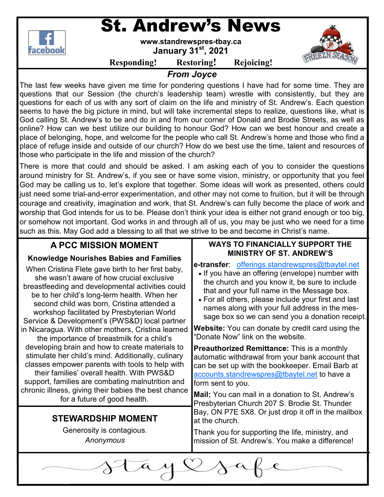

# St. Andrew's News

**www.standrewspres-tbay.ca** 

**January 31st, 2021** 



**Responding! Restoring! Rejoicing!**

*From Joyce* 

The last few weeks have given me time for pondering questions I have had for some time. They are questions that our Session (the church's leadership team) wrestle with consistently, but they are questions for each of us with any sort of claim on the life and ministry of St. Andrew's. Each question seems to have the big picture in mind, but will take incremental steps to realize, questions like, what is God calling St. Andrew's to be and do in and from our corner of Donald and Brodie Streets, as well as online? How can we best utilize our building to honour God? How can we best honour and create a place of belonging, hope, and welcome for the people who call St. Andrew's home and those who find a place of refuge inside and outside of our church? How do we best use the time, talent and resources of those who participate in the life and mission of the church?

There is more that could and should be asked. I am asking each of you to consider the questions around ministry for St. Andrew's, if you see or have some vision, ministry, or opportunity that you feel God may be calling us to, let's explore that together. Some ideas will work as presented, others could just need some trial-and-error experimentation, and other may not come to fruition, but it will be through courage and creativity, imagination and work, that St. Andrew's can fully become the place of work and worship that God intends for us to be. Please don't think your idea is either not grand enough or too big, or somehow not important. God works in and through all of us, you may be just who we need for a time such as this. May God add a blessing to all that we strive to be and become in Christ's name.

| <b>A PCC MISSION MOMENT</b>                                                                                                                                                                                                                                                                                                                                                                                                                                                                                                                                                                                                                                                                                                                                                                                                                                 | <b>WAYS TO FINANCIALLY SUPPORT THE</b>                                                                                                                                                                                                                                                                                                                                                                                                                                                                                                                                                                                                                                                                                                                                                      |
|-------------------------------------------------------------------------------------------------------------------------------------------------------------------------------------------------------------------------------------------------------------------------------------------------------------------------------------------------------------------------------------------------------------------------------------------------------------------------------------------------------------------------------------------------------------------------------------------------------------------------------------------------------------------------------------------------------------------------------------------------------------------------------------------------------------------------------------------------------------|---------------------------------------------------------------------------------------------------------------------------------------------------------------------------------------------------------------------------------------------------------------------------------------------------------------------------------------------------------------------------------------------------------------------------------------------------------------------------------------------------------------------------------------------------------------------------------------------------------------------------------------------------------------------------------------------------------------------------------------------------------------------------------------------|
| <b>Knowledge Nourishes Babies and Families</b><br>When Cristina Flete gave birth to her first baby,<br>she wasn't aware of how crucial exclusive<br>breastfeeding and developmental activities could<br>be to her child's long-term health. When her<br>second child was born, Cristina attended a<br>workshop facilitated by Presbyterian World<br>Service & Development's (PWS&D) local partner<br>in Nicaragua. With other mothers, Cristina learned<br>the importance of breastmilk for a child's<br>developing brain and how to create materials to<br>stimulate her child's mind. Additionally, culinary<br>classes empower parents with tools to help with<br>their families' overall health. With PWS&D<br>support, families are combating malnutrition and<br>chronic illness, giving their babies the best chance<br>for a future of good health. | <b>MINISTRY OF ST. ANDREW'S</b><br>e-transfer: offerings.standrewspres@tbaytel.net<br>• If you have an offering (envelope) number with<br>the church and you know it, be sure to include<br>that and your full name in the Message box.<br>• For all others, please include your first and last<br>names along with your full address in the mes-<br>sage box so we can send you a donation receipt.<br><b>Website:</b> You can donate by credit card using the<br>"Donate Now" link on the website.<br><b>Preauthorized Remittance:</b> This is a monthly<br>automatic withdrawal from your bank account that<br>can be set up with the bookkeeper. Email Barb at<br>accounts.standrewspres@tbaytel.net to have a<br>form sent to you.<br>Mail: You can mail in a donation to St. Andrew's |
| <b>STEWARDSHIP MOMENT</b><br>Generosity is contagious.<br>Anonymous                                                                                                                                                                                                                                                                                                                                                                                                                                                                                                                                                                                                                                                                                                                                                                                         | Presbyterian Church 207 S. Brodie St. Thunder<br>Bay, ON P7E 5X8. Or just drop it off in the mailbox<br>at the church.<br>Thank you for supporting the life, ministry, and<br>mission of St. Andrew's. You make a difference!                                                                                                                                                                                                                                                                                                                                                                                                                                                                                                                                                               |
|                                                                                                                                                                                                                                                                                                                                                                                                                                                                                                                                                                                                                                                                                                                                                                                                                                                             |                                                                                                                                                                                                                                                                                                                                                                                                                                                                                                                                                                                                                                                                                                                                                                                             |